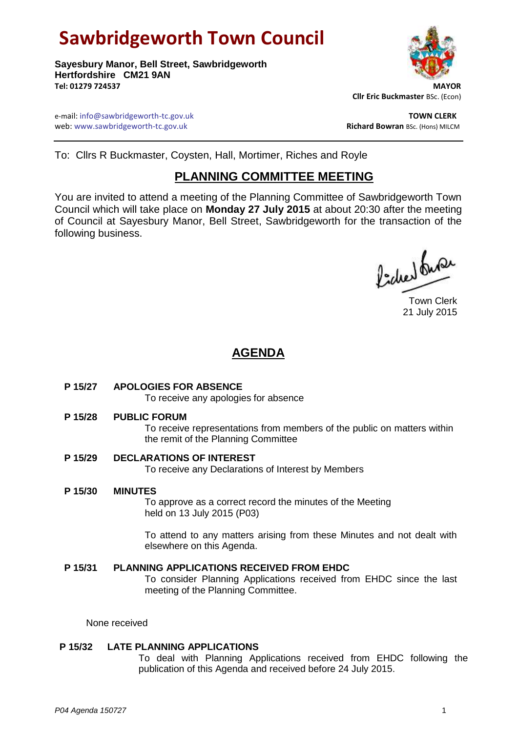# **Sawbridgeworth Town Council**

**Sayesbury Manor, Bell Street, Sawbridgeworth Hertfordshire CM21 9AN Tel: 01279 724537 MAYOR**

 **Cllr Eric Buckmaster** BSc. (Econ)

e-mail: info@sawbridgeworth-tc.gov.uk **TOWN CLERK** web: www.sawbridgeworth-tc.gov.uk **Richard Bowran BSc. (Hons) MILCM** 

To: Cllrs R Buckmaster, Coysten, Hall, Mortimer, Riches and Royle

# **PLANNING COMMITTEE MEETING**

You are invited to attend a meeting of the Planning Committee of Sawbridgeworth Town Council which will take place on **Monday 27 July 2015** at about 20:30 after the meeting of Council at Sayesbury Manor, Bell Street, Sawbridgeworth for the transaction of the following business.

fides fus

Town Clerk 21 July 2015

# **AGENDA**

# **P 15/27 APOLOGIES FOR ABSENCE**

To receive any apologies for absence

**P 15/28 PUBLIC FORUM**

To receive representations from members of the public on matters within the remit of the Planning Committee

**P 15/29 DECLARATIONS OF INTEREST**

To receive any Declarations of Interest by Members

**P 15/30 MINUTES**

To approve as a correct record the minutes of the Meeting held on 13 July 2015 (P03)

To attend to any matters arising from these Minutes and not dealt with elsewhere on this Agenda.

# **P 15/31 PLANNING APPLICATIONS RECEIVED FROM EHDC** To consider Planning Applications received from EHDC since the last meeting of the Planning Committee.

None received

# **P 15/32 LATE PLANNING APPLICATIONS**

To deal with Planning Applications received from EHDC following the publication of this Agenda and received before 24 July 2015.